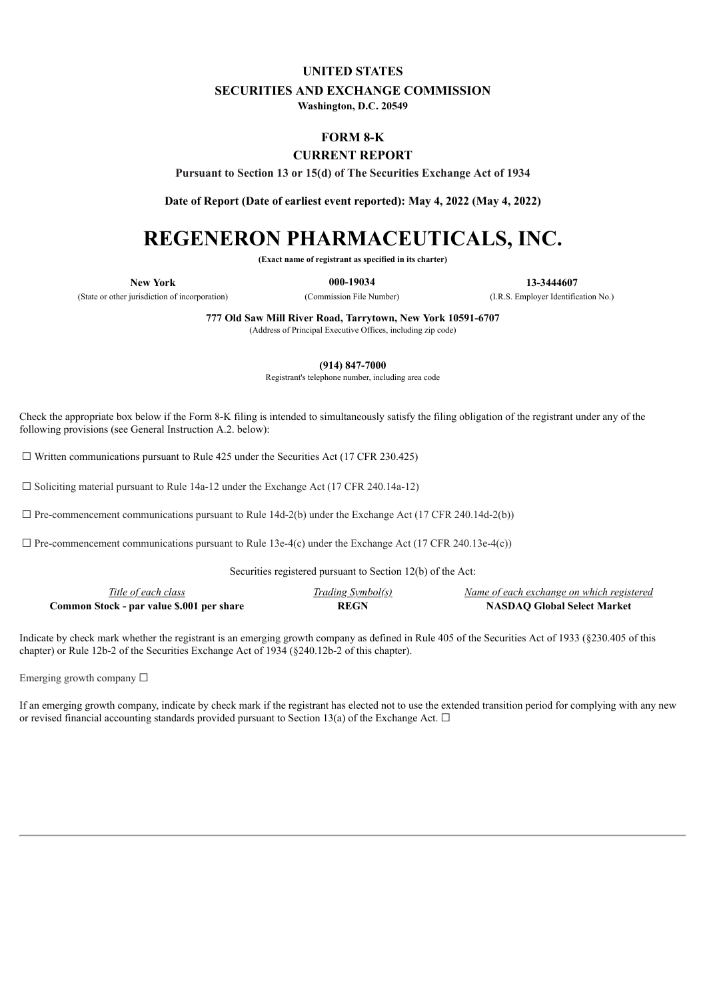#### **UNITED STATES**

#### **SECURITIES AND EXCHANGE COMMISSION**

**Washington, D.C. 20549**

#### **FORM 8-K**

#### **CURRENT REPORT**

**Pursuant to Section 13 or 15(d) of The Securities Exchange Act of 1934**

**Date of Report (Date of earliest event reported): May 4, 2022 (May 4, 2022)**

# **REGENERON PHARMACEUTICALS, INC.**

**(Exact name of registrant as specified in its charter)**

(State or other jurisdiction of incorporation) (Commission File Number) (I.R.S. Employer Identification No.)

**New York 000-19034 13-3444607**

**777 Old Saw Mill River Road, Tarrytown, New York 10591-6707**

(Address of Principal Executive Offices, including zip code)

**(914) 847-7000**

Registrant's telephone number, including area code

Check the appropriate box below if the Form 8-K filing is intended to simultaneously satisfy the filing obligation of the registrant under any of the following provisions (see General Instruction A.2. below):

 $\Box$  Written communications pursuant to Rule 425 under the Securities Act (17 CFR 230.425)

 $\Box$  Soliciting material pursuant to Rule 14a-12 under the Exchange Act (17 CFR 240.14a-12)

 $\Box$  Pre-commencement communications pursuant to Rule 14d-2(b) under the Exchange Act (17 CFR 240.14d-2(b))

 $\Box$  Pre-commencement communications pursuant to Rule 13e-4(c) under the Exchange Act (17 CFR 240.13e-4(c))

Securities registered pursuant to Section 12(b) of the Act:

| <u>Title of each class</u>                | <b>Trading Symbol(s)</b> | <u>Name of each exchange on which registered</u> |
|-------------------------------------------|--------------------------|--------------------------------------------------|
| Common Stock - par value \$.001 per share | <b>REGN</b>              | <b>NASDAO Global Select Market</b>               |

Indicate by check mark whether the registrant is an emerging growth company as defined in Rule 405 of the Securities Act of 1933 (§230.405 of this chapter) or Rule 12b-2 of the Securities Exchange Act of 1934 (§240.12b-2 of this chapter).

Emerging growth company  $\Box$ 

If an emerging growth company, indicate by check mark if the registrant has elected not to use the extended transition period for complying with any new or revised financial accounting standards provided pursuant to Section 13(a) of the Exchange Act.  $\Box$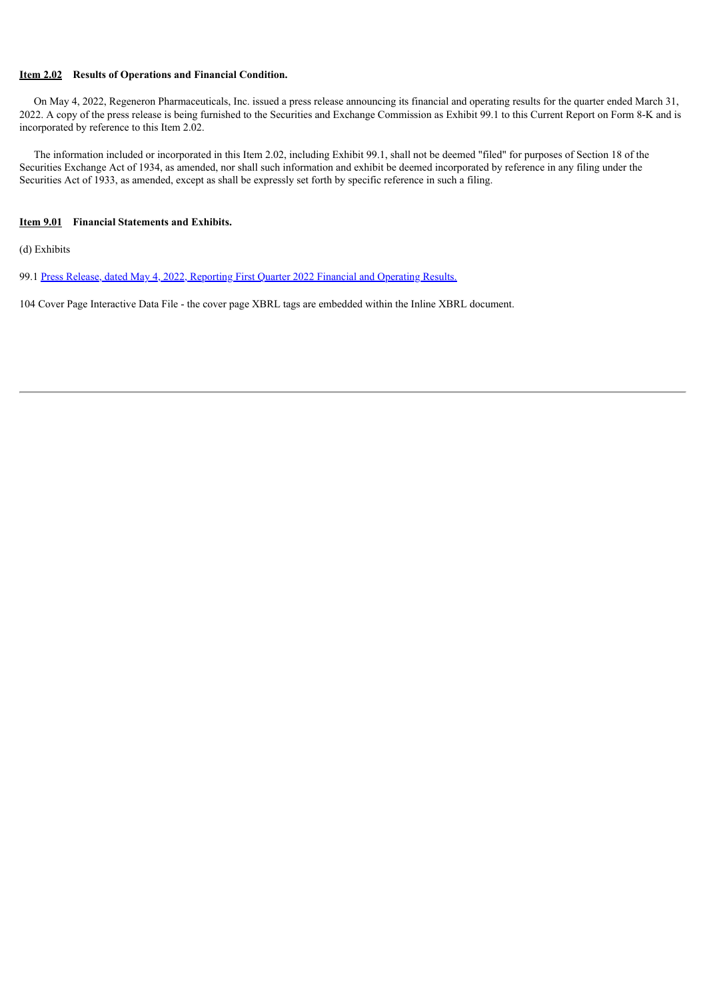#### **Item 2.02 Results of Operations and Financial Condition.**

On May 4, 2022, Regeneron Pharmaceuticals, Inc. issued a press release announcing its financial and operating results for the quarter ended March 31, 2022. A copy of the press release is being furnished to the Securities and Exchange Commission as Exhibit 99.1 to this Current Report on Form 8-K and is incorporated by reference to this Item 2.02.

The information included or incorporated in this Item 2.02, including Exhibit 99.1, shall not be deemed "filed" for purposes of Section 18 of the Securities Exchange Act of 1934, as amended, nor shall such information and exhibit be deemed incorporated by reference in any filing under the Securities Act of 1933, as amended, except as shall be expressly set forth by specific reference in such a filing.

#### **Item 9.01 Financial Statements and Exhibits.**

(d) Exhibits

99.1 Press [Release,](#page-3-0) dated [May](#page-3-0) 4, 2022, [Reporting](#page-3-0) [First](#page-3-0) [Quarter](#page-3-0) [2022](#page-3-0) Financial and [Operating](#page-3-0) Results.

104 Cover Page Interactive Data File - the cover page XBRL tags are embedded within the Inline XBRL document.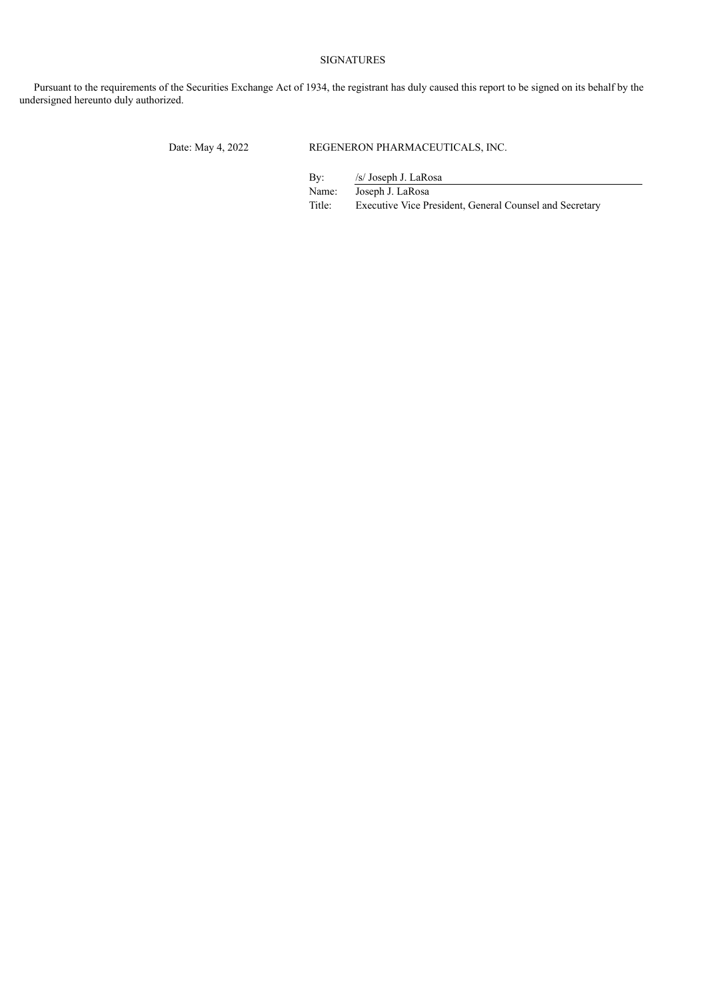#### SIGNATURES

Pursuant to the requirements of the Securities Exchange Act of 1934, the registrant has duly caused this report to be signed on its behalf by the undersigned hereunto duly authorized.

Date: May 4, 2022 REGENERON PHARMACEUTICALS, INC.

By: /s/ Joseph J. LaRosa

Name: Joseph J. LaRosa<br>Title: Executive Vice Pr Executive Vice President, General Counsel and Secretary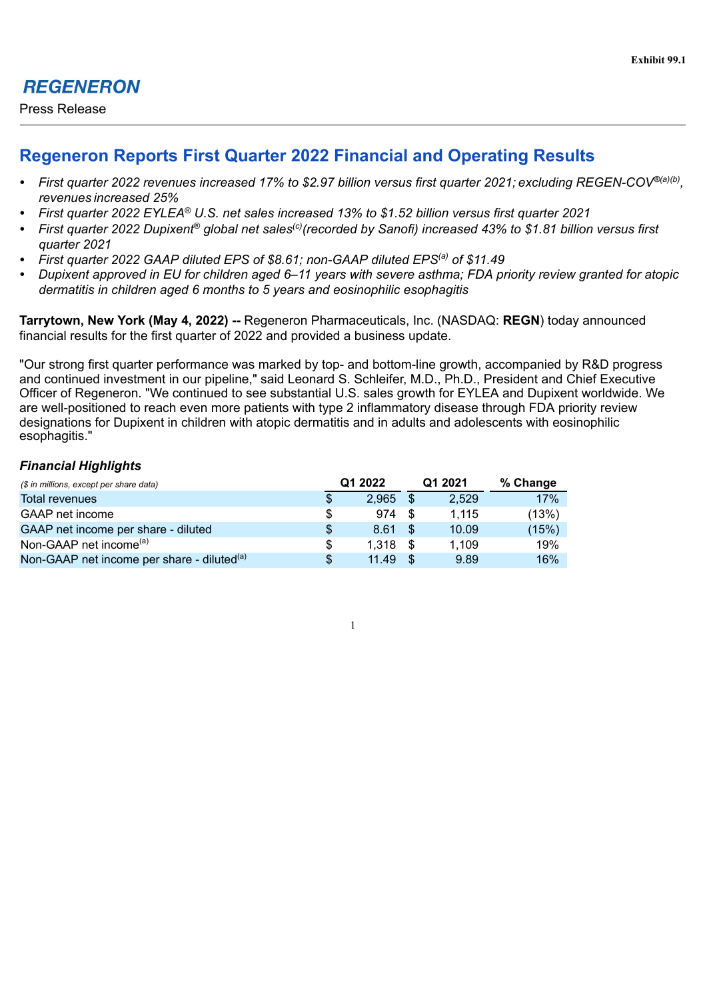# <span id="page-3-0"></span>**REGENERON**

Press Release

# **Regeneron Reports First Quarter 2022 Financial and Operating Results**

- *• First quarter 2022 revenues increased 17% to \$2.97 billion versus first quarter 2021; excluding REGEN-COV , ®(a)(b) revenues increased 25%*
- First quarter 2022 EYLEA® U.S. net sales increased 13% to \$1.52 billion versus first quarter 2021
- First quarter 2022 Dupixent® global net sales<sup>(c)</sup>(recorded by Sanofi) increased 43% to \$1.81 billion versus first *quarter 2021*
- First quarter 2022 GAAP diluted EPS of \$8.61; non-GAAP diluted EPS<sup>(a)</sup> of \$11.49
- *• Dupixent approved in EU for children aged 6–11 years with severe asthma; FDA priority review granted for atopic dermatitis in children aged 6 months to 5 years and eosinophilic esophagitis*

**Tarrytown, New York (May 4, 2022) --** Regeneron Pharmaceuticals, Inc. (NASDAQ: **REGN**) today announced financial results for the first quarter of 2022 and provided a business update.

"Our strong first quarter performance was marked by top- and bottom-line growth, accompanied by R&D progress and continued investment in our pipeline," said Leonard S. Schleifer, M.D., Ph.D., President and Chief Executive Officer of Regeneron. "We continued to see substantial U.S. sales growth for EYLEA and Dupixent worldwide. We are well-positioned to reach even more patients with type 2 inflammatory disease through FDA priority review designations for Dupixent in children with atopic dermatitis and in adults and adolescents with eosinophilic esophagitis."

### *Financial Highlights*

| (\$ in millions, except per share data)                |    | Q1 2022 |              | Q1 2021 | % Change |
|--------------------------------------------------------|----|---------|--------------|---------|----------|
| Total revenues                                         | S  | 2.965   | - \$         | 2.529   | 17%      |
| GAAP net income                                        | S  | 974     | - \$         | 1.115   | (13%)    |
| GAAP net income per share - diluted                    | \$ | 8.61    |              | 10.09   | (15%)    |
| Non-GAAP net income <sup>(a)</sup>                     | \$ | 1.318   | - \$         | 1.109   | 19%      |
| Non-GAAP net income per share - diluted <sup>(a)</sup> | \$ | 11.49   | $\mathbf{F}$ | 9.89    | 16%      |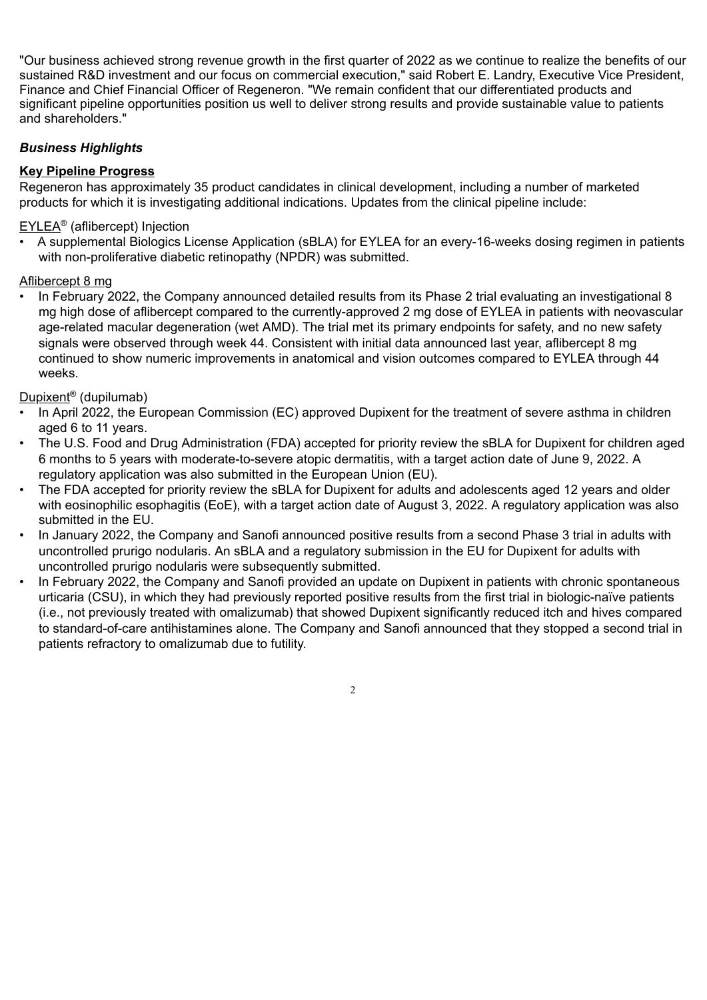"Our business achieved strong revenue growth in the first quarter of 2022 as we continue to realize the benefits of our sustained R&D investment and our focus on commercial execution," said Robert E. Landry, Executive Vice President, Finance and Chief Financial Officer of Regeneron. "We remain confident that our differentiated products and significant pipeline opportunities position us well to deliver strong results and provide sustainable value to patients and shareholders."

## *Business Highlights*

## **Key Pipeline Progress**

Regeneron has approximately 35 product candidates in clinical development, including a number of marketed products for which it is investigating additional indications. Updates from the clinical pipeline include:

## EYLEA<sup>®</sup> (aflibercept) Injection

• A supplemental Biologics License Application (sBLA) for EYLEA for an every-16-weeks dosing regimen in patients with non-proliferative diabetic retinopathy (NPDR) was submitted.

## Aflibercept 8 mg

• In February 2022, the Company announced detailed results from its Phase 2 trial evaluating an investigational 8 mg high dose of aflibercept compared to the currently-approved 2 mg dose of EYLEA in patients with neovascular age-related macular degeneration (wet AMD). The trial met its primary endpoints for safety, and no new safety signals were observed through week 44. Consistent with initial data announced last year, aflibercept 8 mg continued to show numeric improvements in anatomical and vision outcomes compared to EYLEA through 44 weeks.

## Dupixent® (dupilumab)

- In April 2022, the European Commission (EC) approved Dupixent for the treatment of severe asthma in children aged 6 to 11 years.
- The U.S. Food and Drug Administration (FDA) accepted for priority review the sBLA for Dupixent for children aged 6 months to 5 years with moderate-to-severe atopic dermatitis, with a target action date of June 9, 2022. A regulatory application was also submitted in the European Union (EU).
- The FDA accepted for priority review the sBLA for Dupixent for adults and adolescents aged 12 years and older with eosinophilic esophagitis (EoE), with a target action date of August 3, 2022. A regulatory application was also submitted in the EU.
- In January 2022, the Company and Sanofi announced positive results from a second Phase 3 trial in adults with uncontrolled prurigo nodularis. An sBLA and a regulatory submission in the EU for Dupixent for adults with uncontrolled prurigo nodularis were subsequently submitted.
- In February 2022, the Company and Sanofi provided an update on Dupixent in patients with chronic spontaneous urticaria (CSU), in which they had previously reported positive results from the first trial in biologic-naïve patients (i.e., not previously treated with omalizumab) that showed Dupixent significantly reduced itch and hives compared to standard-of-care antihistamines alone. The Company and Sanofi announced that they stopped a second trial in patients refractory to omalizumab due to futility.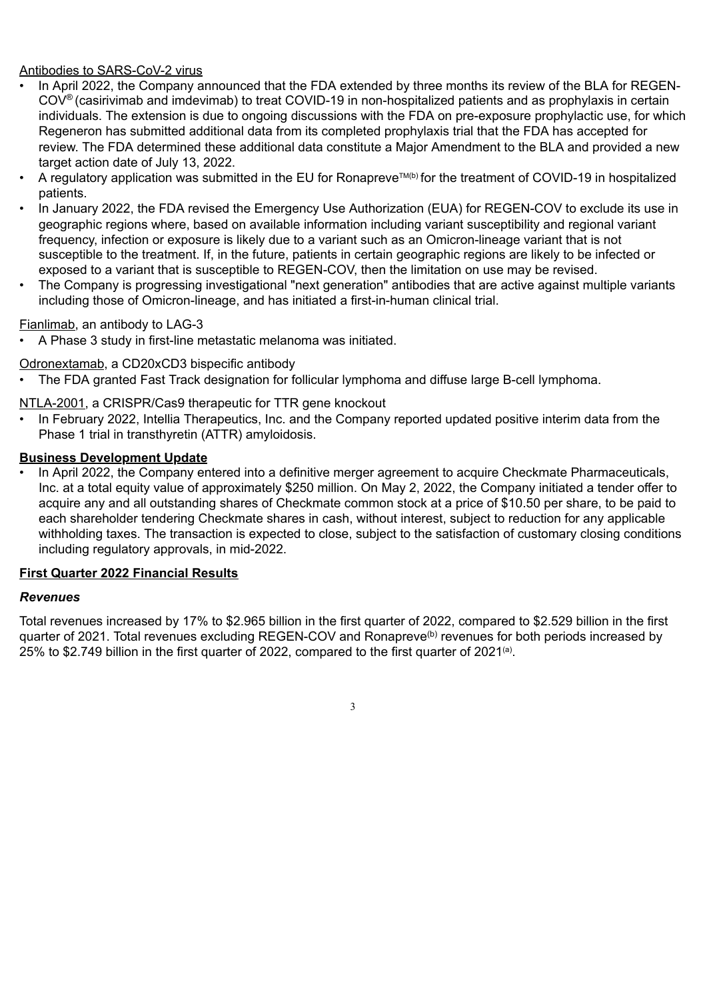### Antibodies to SARS-CoV-2 virus

- In April 2022, the Company announced that the FDA extended by three months its review of the BLA for REGEN- $COV^{\circledast}$  (casirivimab and imdevimab) to treat COVID-19 in non-hospitalized patients and as prophylaxis in certain individuals. The extension is due to ongoing discussions with the FDA on pre-exposure prophylactic use, for which Regeneron has submitted additional data from its completed prophylaxis trial that the FDA has accepted for review. The FDA determined these additional data constitute a Major Amendment to the BLA and provided a new target action date of July 13, 2022.
- A regulatory application was submitted in the EU for Ronapreve<sup> $TM(b)$ </sup> for the treatment of COVID-19 in hospitalized patients.
- In January 2022, the FDA revised the Emergency Use Authorization (EUA) for REGEN-COV to exclude its use in geographic regions where, based on available information including variant susceptibility and regional variant frequency, infection or exposure is likely due to a variant such as an Omicron-lineage variant that is not susceptible to the treatment. If, in the future, patients in certain geographic regions are likely to be infected or exposed to a variant that is susceptible to REGEN-COV, then the limitation on use may be revised.
- The Company is progressing investigational "next generation" antibodies that are active against multiple variants including those of Omicron-lineage, and has initiated a first-in-human clinical trial.

## Fianlimab, an antibody to LAG-3

• A Phase 3 study in first-line metastatic melanoma was initiated.

## Odronextamab, a CD20xCD3 bispecific antibody

• The FDA granted Fast Track designation for follicular lymphoma and diffuse large B-cell lymphoma.

## NTLA-2001, a CRISPR/Cas9 therapeutic for TTR gene knockout

• In February 2022, Intellia Therapeutics, Inc. and the Company reported updated positive interim data from the Phase 1 trial in transthyretin (ATTR) amyloidosis.

### **Business Development Update**

• In April 2022, the Company entered into a definitive merger agreement to acquire Checkmate Pharmaceuticals, Inc. at a total equity value of approximately \$250 million. On May 2, 2022, the Company initiated a tender offer to acquire any and all outstanding shares of Checkmate common stock at a price of \$10.50 per share, to be paid to each shareholder tendering Checkmate shares in cash, without interest, subject to reduction for any applicable withholding taxes. The transaction is expected to close, subject to the satisfaction of customary closing conditions including regulatory approvals, in mid-2022.

### **First Quarter 2022 Financial Results**

#### *Revenues*

Total revenues increased by 17% to \$2.965 billion in the first quarter of 2022, compared to \$2.529 billion in the first quarter of 2021. Total revenues excluding REGEN-COV and Ronapreve<sup>(b)</sup> revenues for both periods increased by 25% to \$2.749 billion in the first quarter of 2022, compared to the first quarter of 2021<sup>(a)</sup>.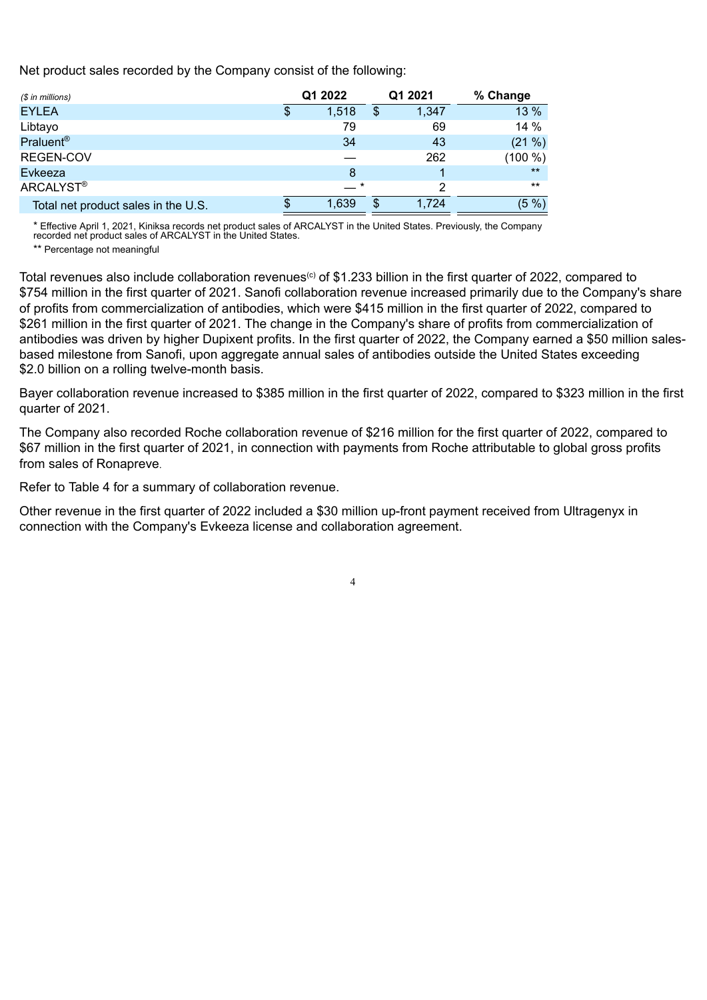Net product sales recorded by the Company consist of the following:

| (\$ in millions)                    | Q1 2022     | Q1 2021     | % Change |
|-------------------------------------|-------------|-------------|----------|
| <b>EYLEA</b>                        | \$<br>1.518 | \$<br>1,347 | 13 %     |
| Libtayo                             | 79          | 69          | 14 %     |
| Praluent <sup>®</sup>               | 34          | 43          | $(21\%)$ |
| REGEN-COV                           |             | 262         | (100 %)  |
| Evkeeza                             | 8           |             | $***$    |
| ARCALYST <sup>®</sup>               | — *         | っ           | $***$    |
| Total net product sales in the U.S. | 1.639       | \$<br>1.724 | (5%)     |

\* Effective April 1, 2021, Kiniksa records net product sales of ARCALYST in the United States. Previously, the Company recorded net product sales of ARCALYST in the United States.

\*\* Percentage not meaningful

Total revenues also include collaboration revenues $\circ$  of \$1.233 billion in the first quarter of 2022, compared to \$754 million in the first quarter of 2021. Sanofi collaboration revenue increased primarily due to the Company's share of profits from commercialization of antibodies, which were \$415 million in the first quarter of 2022, compared to \$261 million in the first quarter of 2021. The change in the Company's share of profits from commercialization of antibodies was driven by higher Dupixent profits. In the first quarter of 2022, the Company earned a \$50 million salesbased milestone from Sanofi, upon aggregate annual sales of antibodies outside the United States exceeding \$2.0 billion on a rolling twelve-month basis.

Bayer collaboration revenue increased to \$385 million in the first quarter of 2022, compared to \$323 million in the first quarter of 2021.

The Company also recorded Roche collaboration revenue of \$216 million for the first quarter of 2022, compared to \$67 million in the first quarter of 2021, in connection with payments from Roche attributable to global gross profits from sales of Ronapreve.

Refer to Table 4 for a summary of collaboration revenue.

Other revenue in the first quarter of 2022 included a \$30 million up-front payment received from Ultragenyx in connection with the Company's Evkeeza license and collaboration agreement.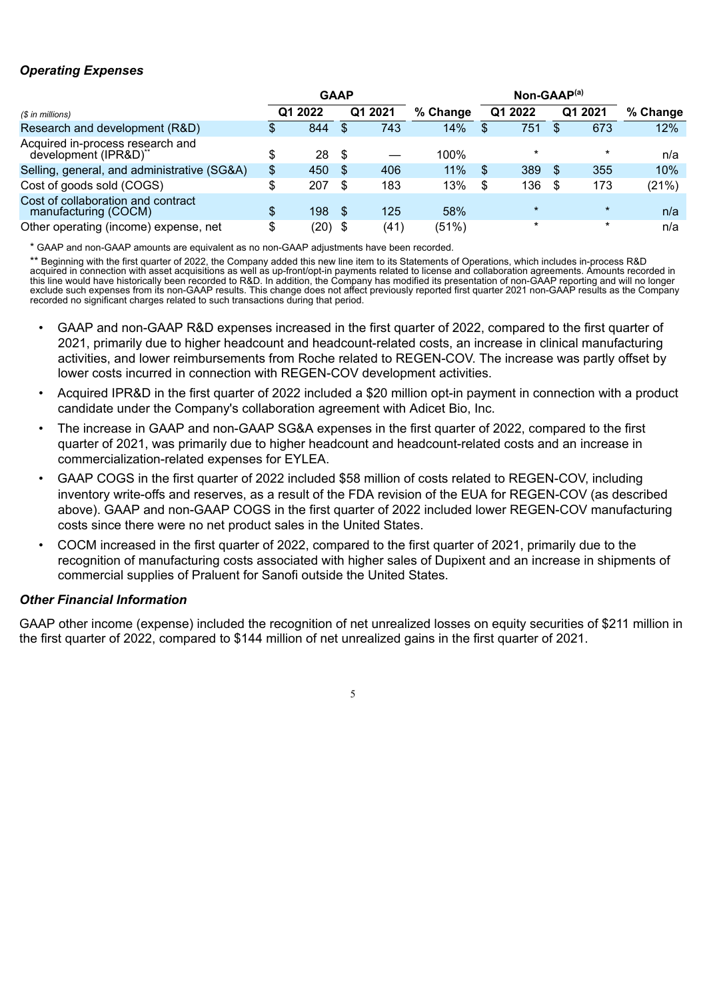## *Operating Expenses*

|                                                            |            | <b>GAAP</b> |         |          |    | Non-GAAP <sup>(a)</sup> |    |         |          |
|------------------------------------------------------------|------------|-------------|---------|----------|----|-------------------------|----|---------|----------|
| (\$ in millions)                                           | Q1 2022    |             | Q1 2021 | % Change |    | Q1 2022                 |    | Q1 2021 | % Change |
| Research and development (R&D)                             | \$<br>844  | \$          | 743     | 14%      | S  | 751                     | \$ | 673     | 12%      |
| Acquired in-process research and<br>development (IPR&D)*   | \$<br>28   | S           |         | 100%     |    | $\ast$                  |    | $\star$ | n/a      |
| Selling, general, and administrative (SG&A)                | \$<br>450  | \$          | 406     | 11%      | \$ | 389                     | -S | 355     | 10%      |
| Cost of goods sold (COGS)                                  | \$<br>207  | -S          | 183     | 13%      | \$ | 136                     |    | 173     | (21%)    |
| Cost of collaboration and contract<br>manufacturing (COCM) | \$<br>198  | -S          | 125     | 58%      |    | $\star$                 |    | $\star$ | n/a      |
| Other operating (income) expense, net                      | \$<br>(20) | - \$        | (41)    | (51%)    |    | $\ast$                  |    | $\ast$  | n/a      |

\* GAAP and non-GAAP amounts are equivalent as no non-GAAP adjustments have been recorded.

\*\* Beginning with the first quarter of 2022, the Company added this new line item to its Statements of Operations, which includes in-process R&D acquired in connection with asset acquisitions as well as up-front/opt-in payments related to license and collaboration agreements. Amounts recorded in this line would have historically been recorded to R&D. In addition, the Company has modified its presentation of non-GAAP reporting and will no longer exclude such expenses from its non-GAAP results. This change does not affect previously reported first quarter 2021 non-GAAP results as the Company recorded no significant charges related to such transactions during that period.

- GAAP and non-GAAP R&D expenses increased in the first quarter of 2022, compared to the first quarter of 2021, primarily due to higher headcount and headcount-related costs, an increase in clinical manufacturing activities, and lower reimbursements from Roche related to REGEN-COV. The increase was partly offset by lower costs incurred in connection with REGEN-COV development activities.
- Acquired IPR&D in the first quarter of 2022 included a \$20 million opt-in payment in connection with a product candidate under the Company's collaboration agreement with Adicet Bio, Inc.
- The increase in GAAP and non-GAAP SG&A expenses in the first quarter of 2022, compared to the first quarter of 2021, was primarily due to higher headcount and headcount-related costs and an increase in commercialization-related expenses for EYLEA.
- GAAP COGS in the first quarter of 2022 included \$58 million of costs related to REGEN-COV, including inventory write-offs and reserves, as a result of the FDA revision of the EUA for REGEN-COV (as described above). GAAP and non-GAAP COGS in the first quarter of 2022 included lower REGEN-COV manufacturing costs since there were no net product sales in the United States.
- COCM increased in the first quarter of 2022, compared to the first quarter of 2021, primarily due to the recognition of manufacturing costs associated with higher sales of Dupixent and an increase in shipments of commercial supplies of Praluent for Sanofi outside the United States.

#### *Other Financial Information*

GAAP other income (expense) included the recognition of net unrealized losses on equity securities of \$211 million in the first quarter of 2022, compared to \$144 million of net unrealized gains in the first quarter of 2021.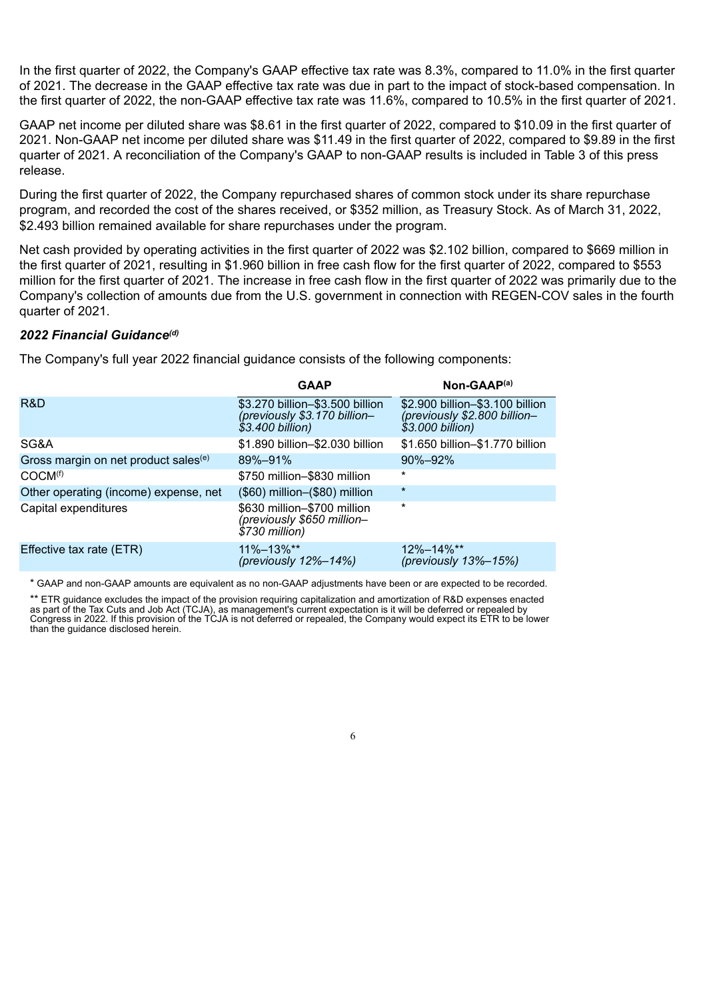In the first quarter of 2022, the Company's GAAP effective tax rate was 8.3%, compared to 11.0% in the first quarter of 2021. The decrease in the GAAP effective tax rate was due in part to the impact of stock-based compensation. In the first quarter of 2022, the non-GAAP effective tax rate was 11.6%, compared to 10.5% in the first quarter of 2021.

GAAP net income per diluted share was \$8.61 in the first quarter of 2022, compared to \$10.09 in the first quarter of 2021. Non-GAAP net income per diluted share was \$11.49 in the first quarter of 2022, compared to \$9.89 in the first quarter of 2021. A reconciliation of the Company's GAAP to non-GAAP results is included in Table 3 of this press release.

During the first quarter of 2022, the Company repurchased shares of common stock under its share repurchase program, and recorded the cost of the shares received, or \$352 million, as Treasury Stock. As of March 31, 2022, \$2.493 billion remained available for share repurchases under the program.

Net cash provided by operating activities in the first quarter of 2022 was \$2.102 billion, compared to \$669 million in the first quarter of 2021, resulting in \$1.960 billion in free cash flow for the first quarter of 2022, compared to \$553 million for the first quarter of 2021. The increase in free cash flow in the first quarter of 2022 was primarily due to the Company's collection of amounts due from the U.S. government in connection with REGEN-COV sales in the fourth quarter of 2021.

#### *2022 Financial Guidance (d)*

The Company's full year 2022 financial guidance consists of the following components:

|                                                  | <b>GAAP</b>                                                                         | Non-GAAP(a)                                                                         |
|--------------------------------------------------|-------------------------------------------------------------------------------------|-------------------------------------------------------------------------------------|
| R&D                                              | \$3.270 billion-\$3.500 billion<br>(previously \$3.170 billion-<br>\$3.400 billion) | \$2.900 billion-\$3.100 billion<br>(previously \$2.800 billion-<br>\$3.000 billion) |
| SG&A                                             | \$1.890 billion-\$2.030 billion                                                     | \$1.650 billion-\$1.770 billion                                                     |
| Gross margin on net product sales <sup>(e)</sup> | 89%-91%                                                                             | $90\% - 92\%$                                                                       |
| COCM <sup>(f)</sup>                              | \$750 million-\$830 million                                                         | $\star$                                                                             |
| Other operating (income) expense, net            | $($60)$ million- $($80)$ million                                                    | $\star$                                                                             |
| Capital expenditures                             | \$630 million-\$700 million<br>(previously \$650 million-<br>\$730 million)         | $\star$                                                                             |
| Effective tax rate (ETR)                         | $11\% - 13\%$ **<br>(previously 12%–14%)                                            | $12\% - 14\%$ <sup>**</sup><br>(previously 13%-15%)                                 |

\* GAAP and non-GAAP amounts are equivalent as no non-GAAP adjustments have been or are expected to be recorded.

\*\* ETR guidance excludes the impact of the provision requiring capitalization and amortization of R&D expenses enacted as part of the Tax Cuts and Job Act (TCJA), as management's current expectation is it will be deferred or repealed by Congress in 2022. If this provision of the TCJA is not deferred or repealed, the Company would expect its ETR to be lower than the guidance disclosed herein.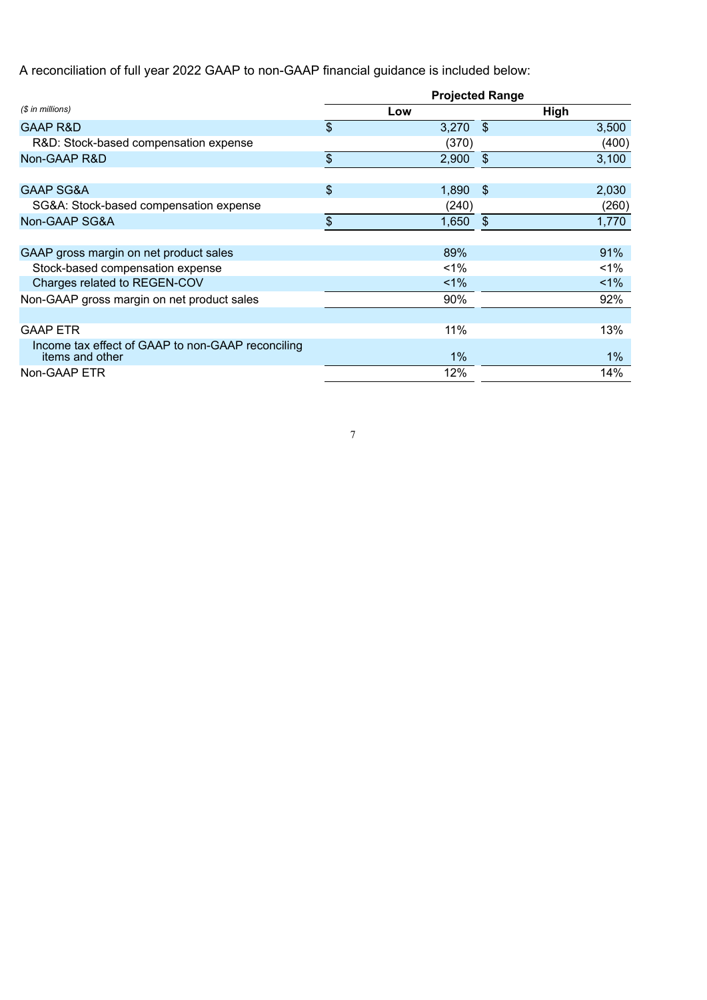A reconciliation of full year 2022 GAAP to non-GAAP financial guidance is included below:

|                                                                      | <b>Projected Range</b> |            |               |       |  |  |  |  |  |
|----------------------------------------------------------------------|------------------------|------------|---------------|-------|--|--|--|--|--|
| (\$ in millions)                                                     |                        | Low        |               | High  |  |  |  |  |  |
| <b>GAAP R&amp;D</b>                                                  | $\mathfrak{S}$         | 3,270      | $\mathcal{L}$ | 3,500 |  |  |  |  |  |
| R&D: Stock-based compensation expense                                |                        | (370)      |               | (400) |  |  |  |  |  |
| Non-GAAP R&D                                                         | \$                     | 2,900      | \$            | 3,100 |  |  |  |  |  |
|                                                                      |                        |            |               |       |  |  |  |  |  |
| <b>GAAP SG&amp;A</b>                                                 | \$                     | $1,890$ \$ |               | 2,030 |  |  |  |  |  |
| SG&A: Stock-based compensation expense                               |                        | (240)      |               | (260) |  |  |  |  |  |
| Non-GAAP SG&A                                                        | $\frac{1}{2}$          | 1,650      | \$            | 1,770 |  |  |  |  |  |
|                                                                      |                        |            |               |       |  |  |  |  |  |
| GAAP gross margin on net product sales                               |                        | 89%        |               | 91%   |  |  |  |  |  |
| Stock-based compensation expense                                     |                        | $1\%$      |               | 1%    |  |  |  |  |  |
| Charges related to REGEN-COV                                         |                        | $1\%$      |               | $1\%$ |  |  |  |  |  |
| Non-GAAP gross margin on net product sales                           |                        | 90%        |               | 92%   |  |  |  |  |  |
|                                                                      |                        |            |               |       |  |  |  |  |  |
| <b>GAAP ETR</b>                                                      |                        | 11%        |               | 13%   |  |  |  |  |  |
| Income tax effect of GAAP to non-GAAP reconciling<br>items and other |                        | 1%         |               | $1\%$ |  |  |  |  |  |
| Non-GAAP ETR                                                         |                        | 12%        |               | 14%   |  |  |  |  |  |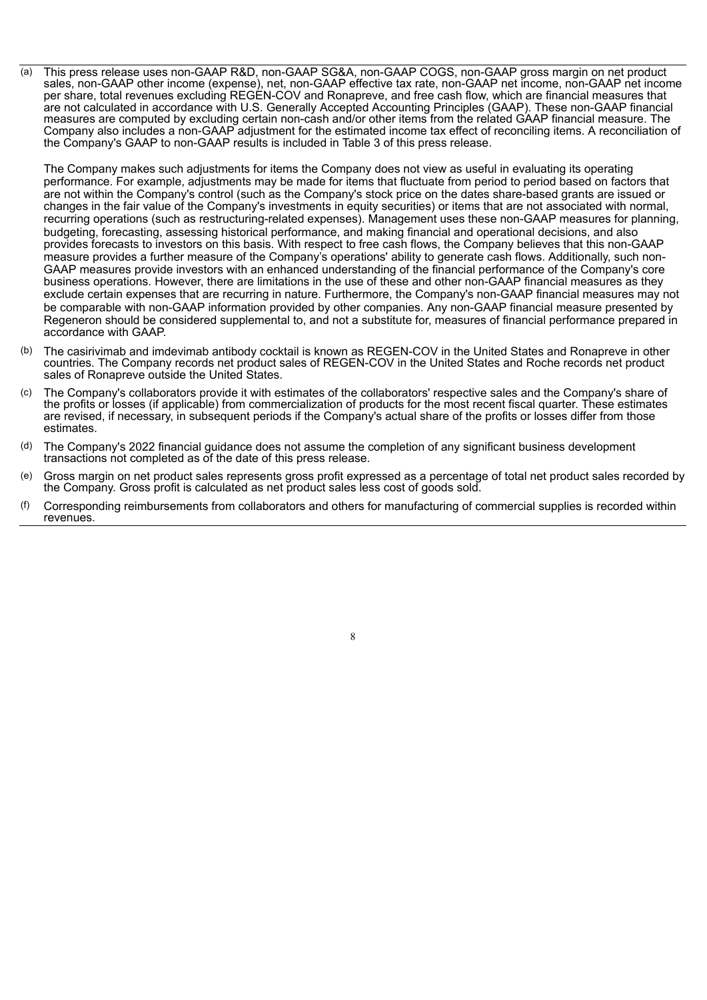(a) This press release uses non-GAAP R&D, non-GAAP SG&A, non-GAAP COGS, non-GAAP gross margin on net product sales, non-GAAP other income (expense), net, non-GAAP effective tax rate, non-GAAP net income, non-GAAP net income per share, total revenues excluding REGEN-COV and Ronapreve, and free cash flow, which are financial measures that are not calculated in accordance with U.S. Generally Accepted Accounting Principles (GAAP). These non-GAAP financial measures are computed by excluding certain non-cash and/or other items from the related GAAP financial measure. The Company also includes a non-GAAP adjustment for the estimated income tax effect of reconciling items. A reconciliation of the Company's GAAP to non-GAAP results is included in Table 3 of this press release.

The Company makes such adjustments for items the Company does not view as useful in evaluating its operating performance. For example, adjustments may be made for items that fluctuate from period to period based on factors that are not within the Company's control (such as the Company's stock price on the dates share-based grants are issued or changes in the fair value of the Company's investments in equity securities) or items that are not associated with normal, recurring operations (such as restructuring-related expenses). Management uses these non-GAAP measures for planning, budgeting, forecasting, assessing historical performance, and making financial and operational decisions, and also provides forecasts to investors on this basis. With respect to free cash flows, the Company believes that this non-GAAP measure provides a further measure of the Company's operations' ability to generate cash flows. Additionally, such non-GAAP measures provide investors with an enhanced understanding of the financial performance of the Company's core business operations. However, there are limitations in the use of these and other non-GAAP financial measures as they exclude certain expenses that are recurring in nature. Furthermore, the Company's non-GAAP financial measures may not be comparable with non-GAAP information provided by other companies. Any non-GAAP financial measure presented by Regeneron should be considered supplemental to, and not a substitute for, measures of financial performance prepared in accordance with GAAP.

- (b) The casirivimab and imdevimab antibody cocktail is known as REGEN-COV in the United States and Ronapreve in other countries. The Company records net product sales of REGEN-COV in the United States and Roche records net product sales of Ronapreve outside the United States.
- (c) The Company's collaborators provide it with estimates of the collaborators' respective sales and the Company's share of the profits or losses (if applicable) from commercialization of products for the most recent fiscal quarter. These estimates are revised, if necessary, in subsequent periods if the Company's actual share of the profits or losses differ from those estimates.
- (d) The Company's 2022 financial guidance does not assume the completion of any significant business development transactions not completed as of the date of this press release.
- (e) Gross margin on net product sales represents gross profit expressed as a percentage of total net product sales recorded by the Company. Gross profit is calculated as net product sales less cost of goods sold.
- (f) Corresponding reimbursements from collaborators and others for manufacturing of commercial supplies is recorded within revenues.

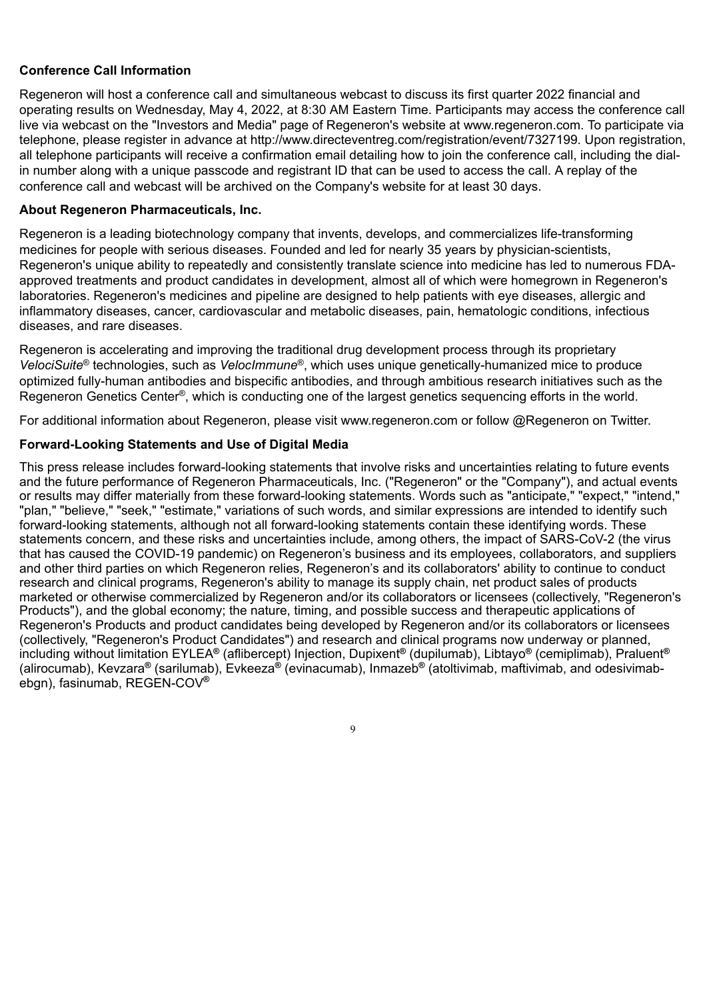### **Conference Call Information**

Regeneron will host a conference call and simultaneous webcast to discuss its first quarter 2022 financial and operating results on Wednesday, May 4, 2022, at 8:30 AM Eastern Time. Participants may access the conference call live via webcast on the "Investors and Media" page of Regeneron's website at www.regeneron.com. To participate via telephone, please register in advance at http://www.directeventreg.com/registration/event/7327199. Upon registration, all telephone participants will receive a confirmation email detailing how to join the conference call, including the dialin number along with a unique passcode and registrant ID that can be used to access the call. A replay of the conference call and webcast will be archived on the Company's website for at least 30 days.

### **About Regeneron Pharmaceuticals, Inc.**

Regeneron is a leading biotechnology company that invents, develops, and commercializes life-transforming medicines for people with serious diseases. Founded and led for nearly 35 years by physician-scientists, Regeneron's unique ability to repeatedly and consistently translate science into medicine has led to numerous FDAapproved treatments and product candidates in development, almost all of which were homegrown in Regeneron's laboratories. Regeneron's medicines and pipeline are designed to help patients with eye diseases, allergic and inflammatory diseases, cancer, cardiovascular and metabolic diseases, pain, hematologic conditions, infectious diseases, and rare diseases.

Regeneron is accelerating and improving the traditional drug development process through its proprietary VelociSuite<sup>®</sup> technologies, such as Veloclmmune<sup>®</sup>, which uses unique genetically-humanized mice to produce optimized fully-human antibodies and bispecific antibodies, and through ambitious research initiatives such as the Regeneron Genetics Center®, which is conducting one of the largest genetics sequencing efforts in the world.

For additional information about Regeneron, please visit www.regeneron.com or follow @Regeneron on Twitter.

### **Forward-Looking Statements and Use of Digital Media**

This press release includes forward-looking statements that involve risks and uncertainties relating to future events and the future performance of Regeneron Pharmaceuticals, Inc. ("Regeneron" or the "Company"), and actual events or results may differ materially from these forward-looking statements. Words such as "anticipate," "expect," "intend," "plan," "believe," "seek," "estimate," variations of such words, and similar expressions are intended to identify such forward-looking statements, although not all forward-looking statements contain these identifying words. These statements concern, and these risks and uncertainties include, among others, the impact of SARS-CoV-2 (the virus that has caused the COVID-19 pandemic) on Regeneron's business and its employees, collaborators, and suppliers and other third parties on which Regeneron relies, Regeneron's and its collaborators' ability to continue to conduct research and clinical programs, Regeneron's ability to manage its supply chain, net product sales of products marketed or otherwise commercialized by Regeneron and/or its collaborators or licensees (collectively, "Regeneron's Products"), and the global economy; the nature, timing, and possible success and therapeutic applications of Regeneron's Products and product candidates being developed by Regeneron and/or its collaborators or licensees (collectively, "Regeneron's Product Candidates") and research and clinical programs now underway or planned, including without limitation EYLEA® (aflibercept) Injection, Dupixent® (dupilumab), Libtayo® (cemiplimab), Praluent® (alirocumab), Kevzara® (sarilumab), Evkeeza® (evinacumab), Inmazeb® (atoltivimab, maftivimab, and odesivimabebgn), fasinumab, REGEN-COV **®**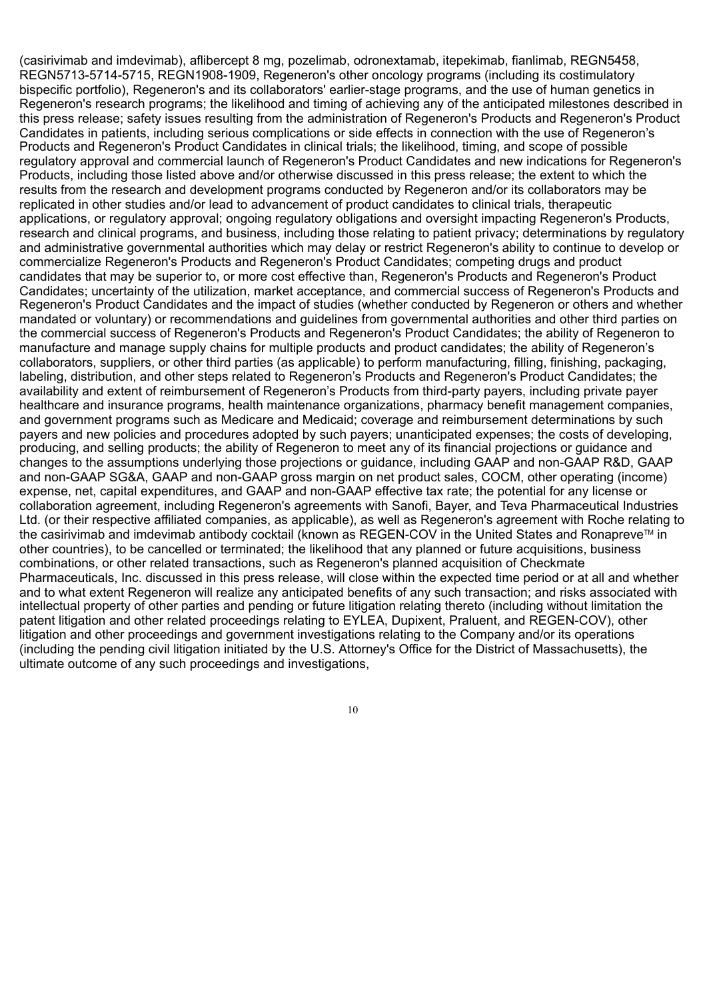(casirivimab and imdevimab), aflibercept 8 mg, pozelimab, odronextamab, itepekimab, fianlimab, REGN5458, REGN5713-5714-5715, REGN1908-1909, Regeneron's other oncology programs (including its costimulatory bispecific portfolio), Regeneron's and its collaborators' earlier-stage programs, and the use of human genetics in Regeneron's research programs; the likelihood and timing of achieving any of the anticipated milestones described in this press release; safety issues resulting from the administration of Regeneron's Products and Regeneron's Product Candidates in patients, including serious complications or side effects in connection with the use of Regeneron's Products and Regeneron's Product Candidates in clinical trials; the likelihood, timing, and scope of possible regulatory approval and commercial launch of Regeneron's Product Candidates and new indications for Regeneron's Products, including those listed above and/or otherwise discussed in this press release; the extent to which the results from the research and development programs conducted by Regeneron and/or its collaborators may be replicated in other studies and/or lead to advancement of product candidates to clinical trials, therapeutic applications, or regulatory approval; ongoing regulatory obligations and oversight impacting Regeneron's Products, research and clinical programs, and business, including those relating to patient privacy; determinations by regulatory and administrative governmental authorities which may delay or restrict Regeneron's ability to continue to develop or commercialize Regeneron's Products and Regeneron's Product Candidates; competing drugs and product candidates that may be superior to, or more cost effective than, Regeneron's Products and Regeneron's Product Candidates; uncertainty of the utilization, market acceptance, and commercial success of Regeneron's Products and Regeneron's Product Candidates and the impact of studies (whether conducted by Regeneron or others and whether mandated or voluntary) or recommendations and guidelines from governmental authorities and other third parties on the commercial success of Regeneron's Products and Regeneron's Product Candidates; the ability of Regeneron to manufacture and manage supply chains for multiple products and product candidates; the ability of Regeneron's collaborators, suppliers, or other third parties (as applicable) to perform manufacturing, filling, finishing, packaging, labeling, distribution, and other steps related to Regeneron's Products and Regeneron's Product Candidates; the availability and extent of reimbursement of Regeneron's Products from third-party payers, including private payer healthcare and insurance programs, health maintenance organizations, pharmacy benefit management companies, and government programs such as Medicare and Medicaid; coverage and reimbursement determinations by such payers and new policies and procedures adopted by such payers; unanticipated expenses; the costs of developing, producing, and selling products; the ability of Regeneron to meet any of its financial projections or guidance and changes to the assumptions underlying those projections or guidance, including GAAP and non-GAAP R&D, GAAP and non-GAAP SG&A, GAAP and non-GAAP gross margin on net product sales, COCM, other operating (income) expense, net, capital expenditures, and GAAP and non-GAAP effective tax rate; the potential for any license or collaboration agreement, including Regeneron's agreements with Sanofi, Bayer, and Teva Pharmaceutical Industries Ltd. (or their respective affiliated companies, as applicable), as well as Regeneron's agreement with Roche relating to the casirivimab and imdevimab antibody cocktail (known as REGEN-COV in the United States and Ronapreve™ in other countries), to be cancelled or terminated; the likelihood that any planned or future acquisitions, business combinations, or other related transactions, such as Regeneron's planned acquisition of Checkmate Pharmaceuticals, Inc. discussed in this press release, will close within the expected time period or at all and whether and to what extent Regeneron will realize any anticipated benefits of any such transaction; and risks associated with intellectual property of other parties and pending or future litigation relating thereto (including without limitation the patent litigation and other related proceedings relating to EYLEA, Dupixent, Praluent, and REGEN-COV), other litigation and other proceedings and government investigations relating to the Company and/or its operations (including the pending civil litigation initiated by the U.S. Attorney's Office for the District of Massachusetts), the ultimate outcome of any such proceedings and investigations,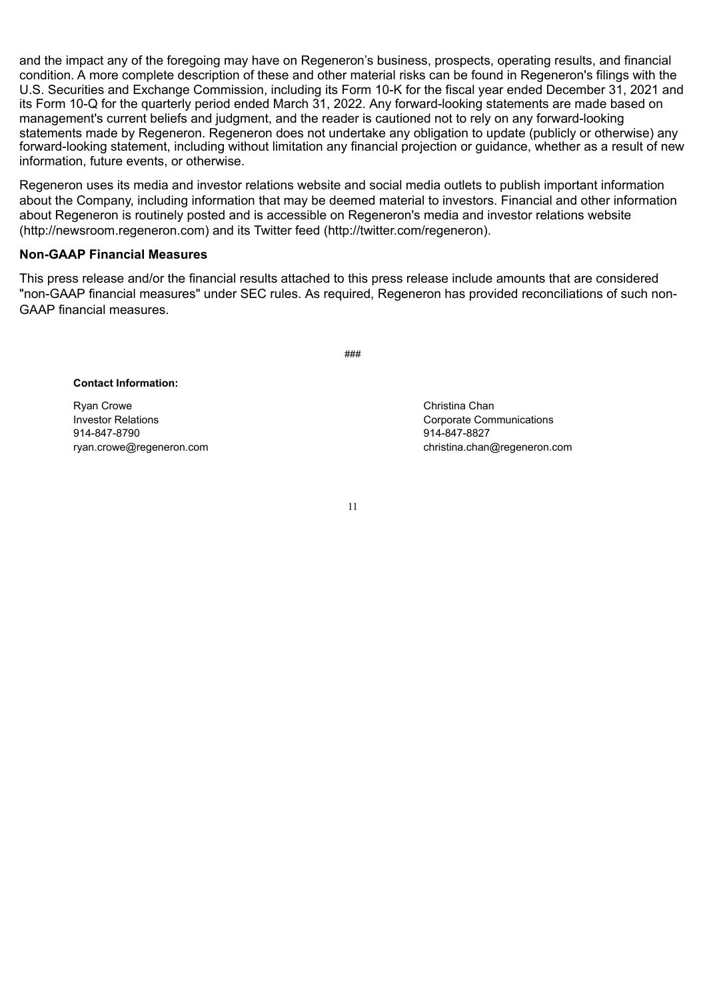and the impact any of the foregoing may have on Regeneron's business, prospects, operating results, and financial condition. A more complete description of these and other material risks can be found in Regeneron's filings with the U.S. Securities and Exchange Commission, including its Form 10-K for the fiscal year ended December 31, 2021 and its Form 10-Q for the quarterly period ended March 31, 2022. Any forward-looking statements are made based on management's current beliefs and judgment, and the reader is cautioned not to rely on any forward-looking statements made by Regeneron. Regeneron does not undertake any obligation to update (publicly or otherwise) any forward-looking statement, including without limitation any financial projection or guidance, whether as a result of new information, future events, or otherwise.

Regeneron uses its media and investor relations website and social media outlets to publish important information about the Company, including information that may be deemed material to investors. Financial and other information about Regeneron is routinely posted and is accessible on Regeneron's media and investor relations website (http://newsroom.regeneron.com) and its Twitter feed (http://twitter.com/regeneron).

#### **Non-GAAP Financial Measures**

This press release and/or the financial results attached to this press release include amounts that are considered "non-GAAP financial measures" under SEC rules. As required, Regeneron has provided reconciliations of such non-GAAP financial measures.

###

#### **Contact Information:**

Ryan Crowe Christina Channel Christina Channel Christina Channel Christina Channel Christina Channel Christina Channel Christina Channel Christina Channel Christina Channel Christina Channel Christina Channel Christina Cha Investor Relations **Investor Relations** Corporate Communications 914-847-8790 914-847-8827

ryan.crowe@regeneron.com christina.chan@regeneron.com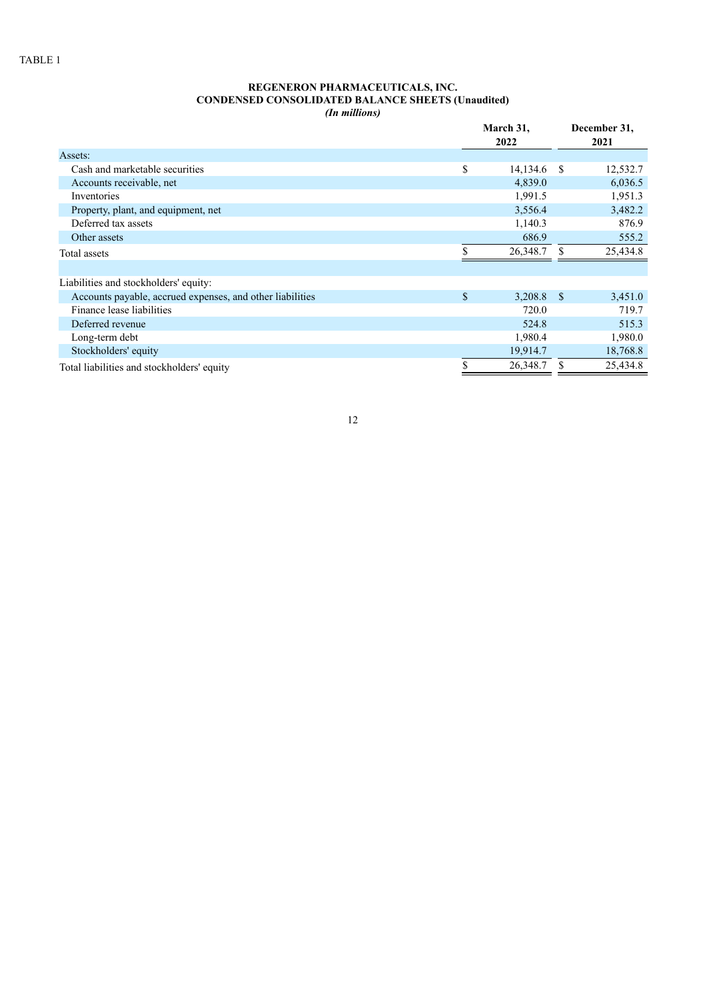#### **REGENERON PHARMACEUTICALS, INC. CONDENSED CONSOLIDATED BALANCE SHEETS (Unaudited)** *(In millions)*

|                                                           | March 31,<br>2022  |      | December 31,<br>2021 |
|-----------------------------------------------------------|--------------------|------|----------------------|
| Assets:                                                   |                    |      |                      |
| Cash and marketable securities                            | \$<br>14,134.6     | - \$ | 12,532.7             |
| Accounts receivable, net                                  | 4,839.0            |      | 6,036.5              |
| Inventories                                               | 1,991.5            |      | 1,951.3              |
| Property, plant, and equipment, net                       | 3,556.4            |      | 3,482.2              |
| Deferred tax assets                                       | 1,140.3            |      | 876.9                |
| Other assets                                              | 686.9              |      | 555.2                |
| Total assets                                              | 26,348.7           | S.   | 25,434.8             |
|                                                           |                    |      |                      |
| Liabilities and stockholders' equity:                     |                    |      |                      |
| Accounts payable, accrued expenses, and other liabilities | \$<br>$3,208.8$ \$ |      | 3,451.0              |
| Finance lease liabilities                                 | 720.0              |      | 719.7                |
| Deferred revenue                                          | 524.8              |      | 515.3                |
| Long-term debt                                            | 1,980.4            |      | 1,980.0              |
| Stockholders' equity                                      | 19,914.7           |      | 18,768.8             |
| Total liabilities and stockholders' equity                | \$<br>26,348.7     | \$.  | 25,434.8             |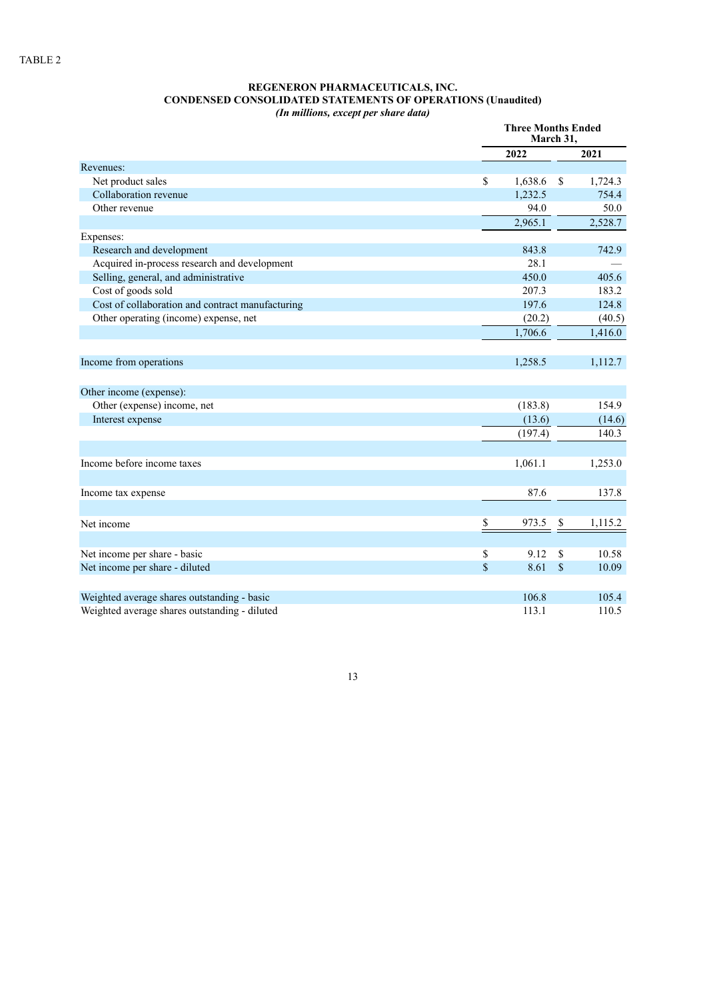#### **REGENERON PHARMACEUTICALS, INC. CONDENSED CONSOLIDATED STATEMENTS OF OPERATIONS (Unaudited)** *(In millions, except per share data)*

|                                                  | <b>Three Months Ended</b><br>March 31, |               |         |
|--------------------------------------------------|----------------------------------------|---------------|---------|
|                                                  | 2022                                   |               | 2021    |
| Revenues:                                        |                                        |               |         |
| Net product sales                                | \$<br>1,638.6                          | -S            | 1,724.3 |
| Collaboration revenue                            | 1,232.5                                |               | 754.4   |
| Other revenue                                    | 94.0                                   |               | 50.0    |
|                                                  | 2,965.1                                |               | 2,528.7 |
| Expenses:                                        |                                        |               |         |
| Research and development                         | 843.8                                  |               | 742.9   |
| Acquired in-process research and development     | 28.1                                   |               |         |
| Selling, general, and administrative             | 450.0                                  |               | 405.6   |
| Cost of goods sold                               | 207.3                                  |               | 183.2   |
| Cost of collaboration and contract manufacturing | 197.6                                  |               | 124.8   |
| Other operating (income) expense, net            | (20.2)                                 |               | (40.5)  |
|                                                  | 1,706.6                                |               | 1,416.0 |
|                                                  |                                        |               |         |
| Income from operations                           | 1,258.5                                |               | 1,112.7 |
|                                                  |                                        |               |         |
| Other income (expense):                          |                                        |               |         |
| Other (expense) income, net                      | (183.8)                                |               | 154.9   |
| Interest expense                                 | (13.6)                                 |               | (14.6)  |
|                                                  | (197.4)                                |               | 140.3   |
|                                                  |                                        |               |         |
| Income before income taxes                       | 1,061.1                                |               | 1,253.0 |
|                                                  |                                        |               |         |
| Income tax expense                               | 87.6                                   |               | 137.8   |
|                                                  |                                        |               |         |
| Net income                                       | \$<br>973.5                            | \$            | 1,115.2 |
|                                                  |                                        |               |         |
| Net income per share - basic                     | \$<br>9.12                             | <sup>\$</sup> | 10.58   |
| Net income per share - diluted                   | \$<br>8.61                             | $\$$          | 10.09   |
|                                                  |                                        |               |         |
| Weighted average shares outstanding - basic      | 106.8                                  |               | 105.4   |
| Weighted average shares outstanding - diluted    | 113.1                                  |               | 110.5   |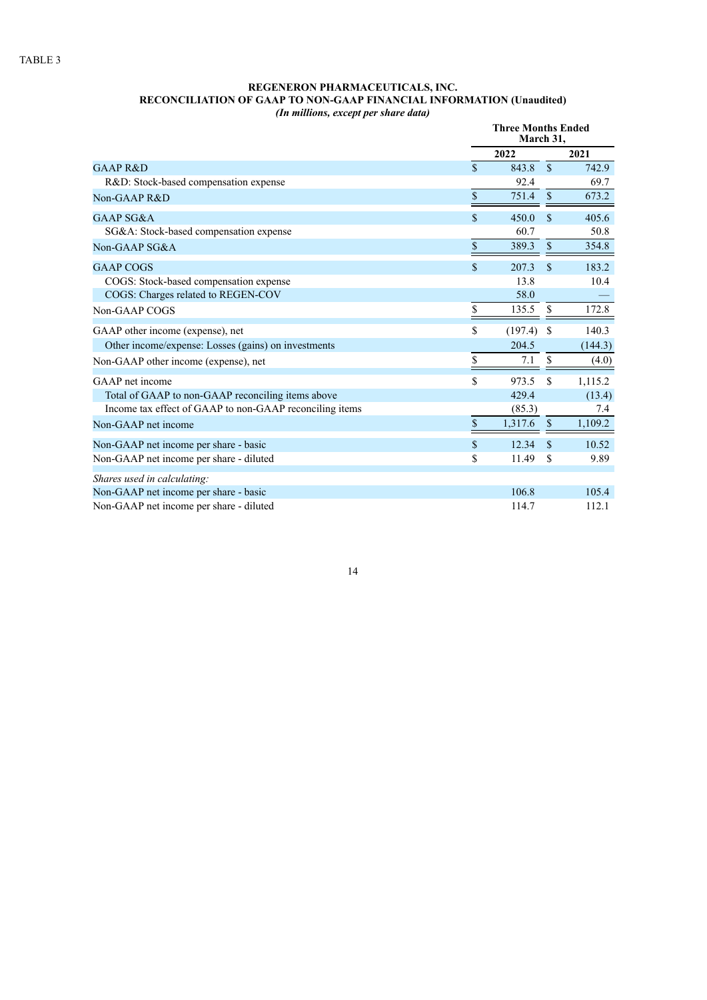#### **REGENERON PHARMACEUTICALS, INC. RECONCILIATION OF GAAP TO NON-GAAP FINANCIAL INFORMATION (Unaudited)** *(In millions, except per share data)*

|                                                         |                    | <b>Three Months Ended</b><br>March 31, |                    |         |  |
|---------------------------------------------------------|--------------------|----------------------------------------|--------------------|---------|--|
|                                                         |                    | 2022                                   |                    | 2021    |  |
| GAMP R&D                                                | $\mathbf{\hat{S}}$ | 843.8                                  | $\mathbf{\hat{S}}$ | 742.9   |  |
| R&D: Stock-based compensation expense                   |                    | 92.4                                   |                    | 69.7    |  |
| Non-GAAP $R&D$                                          | \$                 | 751.4                                  | $\mathcal{S}$      | 673.2   |  |
| <b>GAAP SG&amp;A</b>                                    | $\mathbf{s}$       | 450.0                                  | $\mathbf{s}$       | 405.6   |  |
| SG&A: Stock-based compensation expense                  |                    | 60.7                                   |                    | 50.8    |  |
| Non-GAAP SG&A                                           | \$                 | 389.3                                  | $\mathcal{S}$      | 354.8   |  |
| <b>GAAP COGS</b>                                        | \$                 | 207.3                                  | $\mathbf{s}$       | 183.2   |  |
| COGS: Stock-based compensation expense                  |                    | 13.8                                   |                    | 10.4    |  |
| COGS: Charges related to REGEN-COV                      |                    | 58.0                                   |                    |         |  |
| Non-GAAP COGS                                           | \$                 | 135.5                                  | \$                 | 172.8   |  |
| GAAP other income (expense), net                        | \$                 | (197.4)                                | <sup>\$</sup>      | 140.3   |  |
| Other income/expense: Losses (gains) on investments     |                    | 204.5                                  |                    | (144.3) |  |
| Non-GAAP other income (expense), net                    | \$                 | 7.1                                    | \$                 | (4.0)   |  |
| GAAP net income                                         | \$                 | 973.5                                  | \$                 | 1,115.2 |  |
| Total of GAAP to non-GAAP reconciling items above       |                    | 429.4                                  |                    | (13.4)  |  |
| Income tax effect of GAAP to non-GAAP reconciling items |                    | (85.3)                                 |                    | 7.4     |  |
| Non-GAAP net income                                     | \$                 | 1,317.6                                | $\mathcal{S}$      | 1,109.2 |  |
| Non-GAAP net income per share - basic                   | \$                 | 12.34                                  | $\mathbf{s}$       | 10.52   |  |
| Non-GAAP net income per share - diluted                 | \$                 | 11.49                                  | \$                 | 9.89    |  |
| Shares used in calculating:                             |                    |                                        |                    |         |  |
| Non-GAAP net income per share - basic                   |                    | 106.8                                  |                    | 105.4   |  |
| Non-GAAP net income per share - diluted                 |                    | 114.7                                  |                    | 112.1   |  |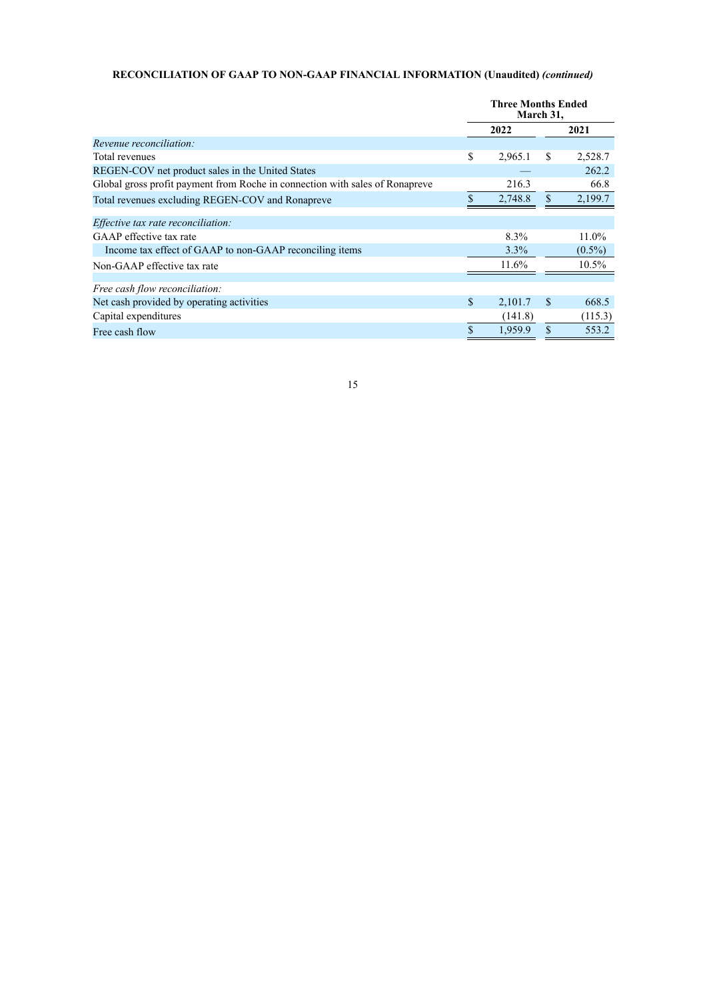# **RECONCILIATION OF GAAP TO NON-GAAP FINANCIAL INFORMATION (Unaudited)** *(continued)*

|                                                                              | <b>Three Months Ended</b><br>March 31, |         |               |           |
|------------------------------------------------------------------------------|----------------------------------------|---------|---------------|-----------|
|                                                                              |                                        | 2022    |               | 2021      |
| Revenue reconciliation:                                                      |                                        |         |               |           |
| Total revenues                                                               | \$                                     | 2,965.1 | <sup>\$</sup> | 2,528.7   |
| REGEN-COV net product sales in the United States                             |                                        |         |               | 262.2     |
| Global gross profit payment from Roche in connection with sales of Ronapreve |                                        | 216.3   |               | 66.8      |
| Total revenues excluding REGEN-COV and Ronapreve                             | $\mathbf{s}$                           | 2,748.8 | $\mathcal{S}$ | 2,199.7   |
|                                                                              |                                        |         |               |           |
| Effective tax rate reconciliation:                                           |                                        |         |               |           |
| GAAP effective tax rate                                                      |                                        | $8.3\%$ |               | 11.0%     |
| Income tax effect of GAAP to non-GAAP reconciling items                      |                                        | $3.3\%$ |               | $(0.5\%)$ |
| Non-GAAP effective tax rate                                                  |                                        | 11.6%   |               | $10.5\%$  |
|                                                                              |                                        |         |               |           |
| Free cash flow reconciliation:                                               |                                        |         |               |           |
| Net cash provided by operating activities                                    | $\mathbb{S}$                           | 2,101.7 | \$.           | 668.5     |
| Capital expenditures                                                         |                                        | (141.8) |               | (115.3)   |
| Free cash flow                                                               | \$                                     | 1,959.9 | \$            | 553.2     |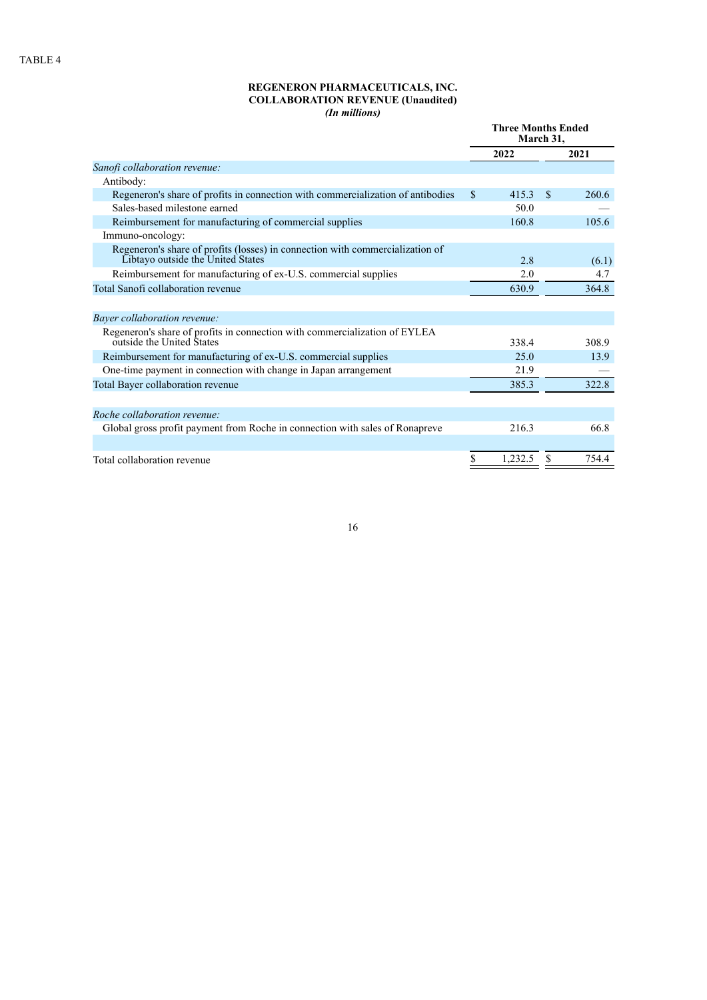#### **REGENERON PHARMACEUTICALS, INC. COLLABORATION REVENUE (Unaudited)** *(In millions)*

|                                                                                                                    |              | <b>Three Months Ended</b><br>March 31, |               |       |
|--------------------------------------------------------------------------------------------------------------------|--------------|----------------------------------------|---------------|-------|
|                                                                                                                    |              | 2022                                   |               | 2021  |
| Sanofi collaboration revenue:                                                                                      |              |                                        |               |       |
| Antibody:                                                                                                          |              |                                        |               |       |
| Regeneron's share of profits in connection with commercialization of antibodies                                    | $\mathbf{s}$ | 415.3                                  | <sup>\$</sup> | 260.6 |
| Sales-based milestone earned                                                                                       |              | 50.0                                   |               |       |
| Reimbursement for manufacturing of commercial supplies                                                             |              | 160.8                                  |               | 105.6 |
| Immuno-oncology:                                                                                                   |              |                                        |               |       |
| Regeneron's share of profits (losses) in connection with commercialization of<br>Libtayo outside the United States |              | 2.8                                    |               | (6.1) |
| Reimbursement for manufacturing of ex-U.S. commercial supplies                                                     |              | 2.0                                    |               | 4.7   |
| Total Sanofi collaboration revenue                                                                                 |              | 630.9                                  |               | 364.8 |
| Bayer collaboration revenue:                                                                                       |              |                                        |               |       |
| Regeneron's share of profits in connection with commercialization of EYLEA<br>outside the United States            |              | 338.4                                  |               | 308.9 |
| Reimbursement for manufacturing of ex-U.S. commercial supplies                                                     |              | 25.0                                   |               | 13.9  |
| One-time payment in connection with change in Japan arrangement                                                    |              | 21.9                                   |               |       |
| Total Bayer collaboration revenue                                                                                  |              | 385.3                                  |               | 322.8 |
|                                                                                                                    |              |                                        |               |       |
| Roche collaboration revenue:                                                                                       |              |                                        |               |       |
| Global gross profit payment from Roche in connection with sales of Ronapreve                                       |              | 216.3                                  |               | 66.8  |
|                                                                                                                    |              |                                        |               |       |
| Total collaboration revenue                                                                                        | \$           | 1,232.5                                |               | 754.4 |